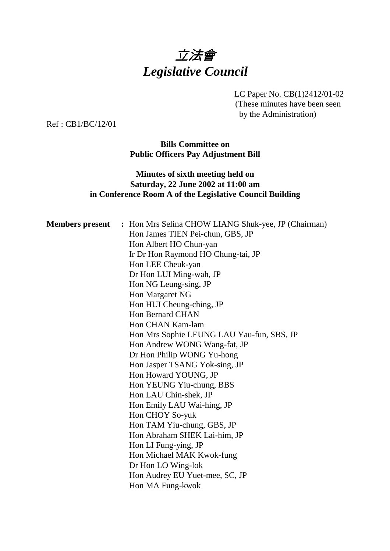

LC Paper No. CB(1)2412/01-02 (These minutes have been seen by the Administration)

Ref : CB1/BC/12/01

**Bills Committee on Public Officers Pay Adjustment Bill**

### **Minutes of sixth meeting held on Saturday, 22 June 2002 at 11:00 am in Conference Room A of the Legislative Council Building**

| <b>Members</b> present | : Hon Mrs Selina CHOW LIANG Shuk-yee, JP (Chairman) |
|------------------------|-----------------------------------------------------|
|                        | Hon James TIEN Pei-chun, GBS, JP                    |
|                        | Hon Albert HO Chun-yan                              |
|                        | Ir Dr Hon Raymond HO Chung-tai, JP                  |
|                        | Hon LEE Cheuk-yan                                   |
|                        | Dr Hon LUI Ming-wah, JP                             |
|                        | Hon NG Leung-sing, JP                               |
|                        | Hon Margaret NG                                     |
|                        | Hon HUI Cheung-ching, JP                            |
|                        | <b>Hon Bernard CHAN</b>                             |
|                        | Hon CHAN Kam-lam                                    |
|                        | Hon Mrs Sophie LEUNG LAU Yau-fun, SBS, JP           |
|                        | Hon Andrew WONG Wang-fat, JP                        |
|                        | Dr Hon Philip WONG Yu-hong                          |
|                        | Hon Jasper TSANG Yok-sing, JP                       |
|                        | Hon Howard YOUNG, JP                                |
|                        | Hon YEUNG Yiu-chung, BBS                            |
|                        | Hon LAU Chin-shek, JP                               |
|                        | Hon Emily LAU Wai-hing, JP                          |
|                        | Hon CHOY So-yuk                                     |
|                        | Hon TAM Yiu-chung, GBS, JP                          |
|                        | Hon Abraham SHEK Lai-him, JP                        |
|                        | Hon LI Fung-ying, JP                                |
|                        | Hon Michael MAK Kwok-fung                           |
|                        | Dr Hon LO Wing-lok                                  |
|                        | Hon Audrey EU Yuet-mee, SC, JP                      |
|                        | Hon MA Fung-kwok                                    |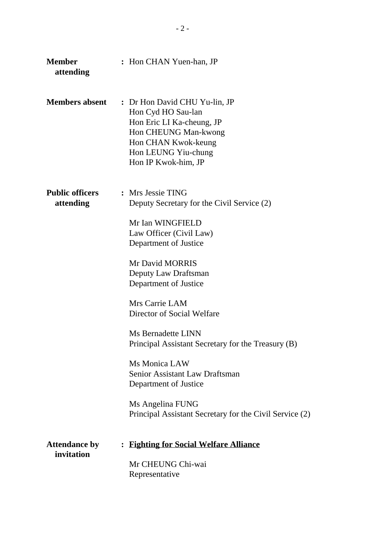| <b>Member</b><br>attending          | : Hon CHAN Yuen-han, JP                                                                                                                                                                                                                                                                                                                                                                                                                                                                            |
|-------------------------------------|----------------------------------------------------------------------------------------------------------------------------------------------------------------------------------------------------------------------------------------------------------------------------------------------------------------------------------------------------------------------------------------------------------------------------------------------------------------------------------------------------|
| <b>Members absent</b>               | : Dr Hon David CHU Yu-lin, JP<br>Hon Cyd HO Sau-lan<br>Hon Eric LI Ka-cheung, JP<br>Hon CHEUNG Man-kwong<br>Hon CHAN Kwok-keung<br>Hon LEUNG Yiu-chung<br>Hon IP Kwok-him, JP                                                                                                                                                                                                                                                                                                                      |
| <b>Public officers</b><br>attending | : Mrs Jessie TING<br>Deputy Secretary for the Civil Service (2)<br>Mr Ian WINGFIELD<br>Law Officer (Civil Law)<br>Department of Justice<br>Mr David MORRIS<br>Deputy Law Draftsman<br>Department of Justice<br>Mrs Carrie LAM<br>Director of Social Welfare<br>Ms Bernadette LINN<br>Principal Assistant Secretary for the Treasury (B)<br>Ms Monica LAW<br>Senior Assistant Law Draftsman<br>Department of Justice<br>Ms Angelina FUNG<br>Principal Assistant Secretary for the Civil Service (2) |
| <b>Attendance by</b><br>invitation  | : Fighting for Social Welfare Alliance<br>Mr CHEUNG Chi-wai<br>Representative                                                                                                                                                                                                                                                                                                                                                                                                                      |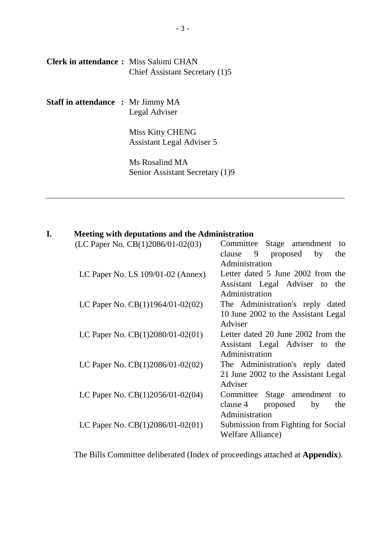| <b>Clerk in attendance:</b> Miss Salumi CHAN |                                |
|----------------------------------------------|--------------------------------|
|                                              | Chief Assistant Secretary (1)5 |

**Staff in attendance :** Mr Jimmy MA Legal Adviser

> Miss Kitty CHENG Assistant Legal Adviser 5

Ms Rosalind MA Senior Assistant Secretary (1)9

# **I. Meeting with deputations and the Administration**

| $(LC$ Paper No. $CB(1)2086/01-02(03)$ — Committee Stage amendment   | to                                  |
|---------------------------------------------------------------------|-------------------------------------|
|                                                                     | clause 9 proposed<br>by<br>the      |
|                                                                     | Administration                      |
| LC Paper No. LS $109/01-02$ (Annex) —                               | Letter dated 5 June 2002 from the   |
|                                                                     | Assistant Legal Adviser to the      |
|                                                                     | Administration                      |
| LC Paper No. $CB(1)1964/01-02(02)$ The Administration's reply dated |                                     |
|                                                                     | 10 June 2002 to the Assistant Legal |
|                                                                     | Adviser                             |
| LC Paper No. $CB(1)2080/01-02(01)$ —                                | Letter dated 20 June 2002 from the  |
|                                                                     | Assistant Legal Adviser to the      |
|                                                                     | Administration                      |
| LC Paper No. $CB(1)2086/01-02(02)$ The Administration's reply dated |                                     |
|                                                                     | 21 June 2002 to the Assistant Legal |
|                                                                     | Adviser                             |
| LC Paper No. $CB(1)2056/01-02(04)$ —                                | Committee Stage amendment<br>to     |
|                                                                     | clause 4 proposed<br>by<br>the      |
|                                                                     | Administration                      |
| LC Paper No. $CB(1)2086/01-02(01)$ —                                | Submission from Fighting for Social |
|                                                                     | Welfare Alliance)                   |

The Bills Committee deliberated (Index of proceedings attached at **Appendix**).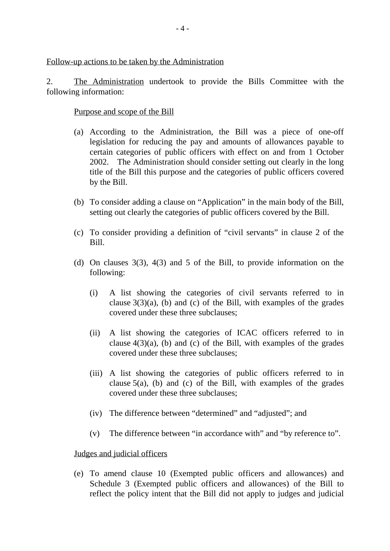Follow-up actions to be taken by the Administration

2. The Administration undertook to provide the Bills Committee with the following information:

### Purpose and scope of the Bill

- (a) According to the Administration, the Bill was a piece of one-off legislation for reducing the pay and amounts of allowances payable to certain categories of public officers with effect on and from 1 October 2002. The Administration should consider setting out clearly in the long title of the Bill this purpose and the categories of public officers covered by the Bill.
- (b) To consider adding a clause on "Application" in the main body of the Bill, setting out clearly the categories of public officers covered by the Bill.
- (c) To consider providing a definition of "civil servants" in clause 2 of the Bill.
- (d) On clauses 3(3), 4(3) and 5 of the Bill, to provide information on the following:
	- (i) A list showing the categories of civil servants referred to in clause  $3(3)(a)$ , (b) and (c) of the Bill, with examples of the grades covered under these three subclauses;
	- (ii) A list showing the categories of ICAC officers referred to in clause  $4(3)(a)$ , (b) and (c) of the Bill, with examples of the grades covered under these three subclauses;
	- (iii) A list showing the categories of public officers referred to in clause  $5(a)$ , (b) and (c) of the Bill, with examples of the grades covered under these three subclauses;
	- (iv) The difference between "determined" and "adjusted"; and
	- (v) The difference between "in accordance with" and "by reference to".

#### Judges and judicial officers

(e) To amend clause 10 (Exempted public officers and allowances) and Schedule 3 (Exempted public officers and allowances) of the Bill to reflect the policy intent that the Bill did not apply to judges and judicial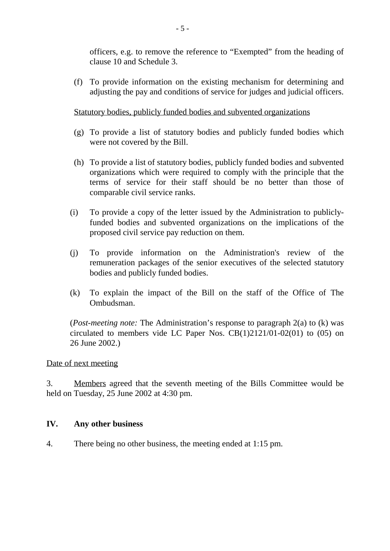officers, e.g. to remove the reference to "Exempted" from the heading of clause 10 and Schedule 3.

(f) To provide information on the existing mechanism for determining and adjusting the pay and conditions of service for judges and judicial officers.

# Statutory bodies, publicly funded bodies and subvented organizations

- (g) To provide a list of statutory bodies and publicly funded bodies which were not covered by the Bill.
- (h) To provide a list of statutory bodies, publicly funded bodies and subvented organizations which were required to comply with the principle that the terms of service for their staff should be no better than those of comparable civil service ranks.
- (i) To provide a copy of the letter issued by the Administration to publiclyfunded bodies and subvented organizations on the implications of the proposed civil service pay reduction on them.
- (j) To provide information on the Administration's review of the remuneration packages of the senior executives of the selected statutory bodies and publicly funded bodies.
- (k) To explain the impact of the Bill on the staff of the Office of The Ombudsman.

(*Post-meeting note:* The Administration's response to paragraph 2(a) to (k) was circulated to members vide LC Paper Nos.  $CB(1)2121/01-02(01)$  to  $(05)$  on 26 June 2002.)

### Date of next meeting

3. Members agreed that the seventh meeting of the Bills Committee would be held on Tuesday, 25 June 2002 at 4:30 pm.

#### **IV. Any other business**

4. There being no other business, the meeting ended at 1:15 pm.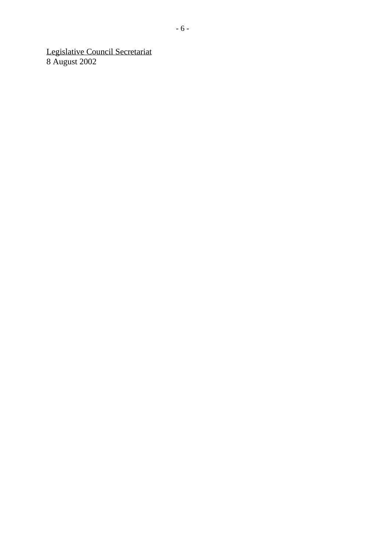Legislative Council Secretariat 8 August 2002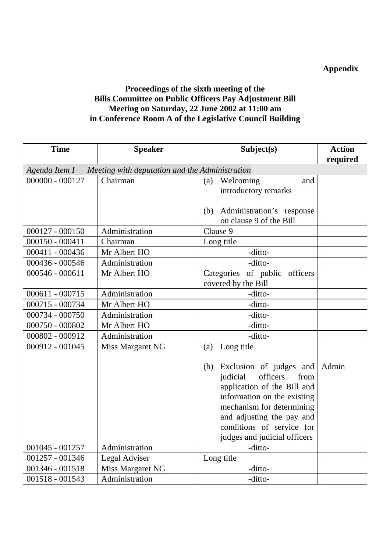# **Appendix**

# **Proceedings of the sixth meeting of the Bills Committee on Public Officers Pay Adjustment Bill Meeting on Saturday, 22 June 2002 at 11:00 am in Conference Room A of the Legislative Council Building**

| <b>Time</b>       | <b>Speaker</b>                                                 | Subject(s)                                                                                                                                                                                                                                          | <b>Action</b> |  |  |
|-------------------|----------------------------------------------------------------|-----------------------------------------------------------------------------------------------------------------------------------------------------------------------------------------------------------------------------------------------------|---------------|--|--|
|                   |                                                                |                                                                                                                                                                                                                                                     | required      |  |  |
|                   | Agenda Item I - Meeting with deputation and the Administration |                                                                                                                                                                                                                                                     |               |  |  |
| $000000 - 000127$ | Chairman                                                       | Welcoming<br>(a)<br>and<br>introductory remarks                                                                                                                                                                                                     |               |  |  |
|                   |                                                                | Administration's response<br>(b)<br>on clause 9 of the Bill                                                                                                                                                                                         |               |  |  |
| $000127 - 000150$ | Administration                                                 | Clause 9                                                                                                                                                                                                                                            |               |  |  |
| $000150 - 000411$ | Chairman                                                       | Long title                                                                                                                                                                                                                                          |               |  |  |
| 000411 - 000436   | Mr Albert HO                                                   | -ditto-                                                                                                                                                                                                                                             |               |  |  |
| 000436 - 000546   | Administration                                                 | -ditto-                                                                                                                                                                                                                                             |               |  |  |
| $000546 - 000611$ | Mr Albert HO                                                   | Categories of public officers<br>covered by the Bill                                                                                                                                                                                                |               |  |  |
| $000611 - 000715$ | Administration                                                 | -ditto-                                                                                                                                                                                                                                             |               |  |  |
| 000715 - 000734   | Mr Albert HO                                                   | -ditto-                                                                                                                                                                                                                                             |               |  |  |
| 000734 - 000750   | Administration                                                 | -ditto-                                                                                                                                                                                                                                             |               |  |  |
| 000750 - 000802   | Mr Albert HO                                                   | -ditto-                                                                                                                                                                                                                                             |               |  |  |
| 000802 - 000912   | Administration                                                 | -ditto-                                                                                                                                                                                                                                             |               |  |  |
| 000912 - 001045   | Miss Margaret NG                                               | Long title<br>(a)                                                                                                                                                                                                                                   |               |  |  |
|                   |                                                                | Exclusion of judges and<br>(b)<br>judicial<br>officers<br>from<br>application of the Bill and<br>information on the existing<br>mechanism for determining<br>and adjusting the pay and<br>conditions of service for<br>judges and judicial officers | Admin         |  |  |
| 001045 - 001257   | Administration                                                 | -ditto-                                                                                                                                                                                                                                             |               |  |  |
| 001257 - 001346   | Legal Adviser                                                  | Long title                                                                                                                                                                                                                                          |               |  |  |
| 001346 - 001518   | Miss Margaret NG                                               | -ditto-                                                                                                                                                                                                                                             |               |  |  |
| 001518 - 001543   | Administration                                                 | -ditto-                                                                                                                                                                                                                                             |               |  |  |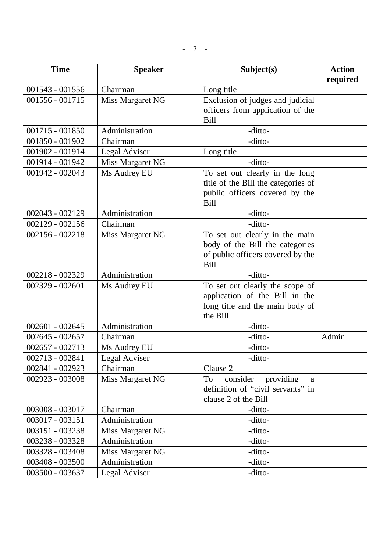| <b>Time</b>       | <b>Speaker</b>   | Subject(s)                                                                                                            | <b>Action</b><br>required |
|-------------------|------------------|-----------------------------------------------------------------------------------------------------------------------|---------------------------|
| 001543 - 001556   | Chairman         | Long title                                                                                                            |                           |
| 001556 - 001715   | Miss Margaret NG | Exclusion of judges and judicial<br>officers from application of the<br><b>Bill</b>                                   |                           |
| 001715 - 001850   | Administration   | -ditto-                                                                                                               |                           |
| 001850 - 001902   | Chairman         | -ditto-                                                                                                               |                           |
| 001902 - 001914   | Legal Adviser    | Long title                                                                                                            |                           |
| 001914 - 001942   | Miss Margaret NG | -ditto-                                                                                                               |                           |
| 001942 - 002043   | Ms Audrey EU     | To set out clearly in the long<br>title of the Bill the categories of<br>public officers covered by the<br>Bill       |                           |
| 002043 - 002129   | Administration   | -ditto-                                                                                                               |                           |
| 002129 - 002156   | Chairman         | -ditto-                                                                                                               |                           |
| $002156 - 002218$ | Miss Margaret NG | To set out clearly in the main<br>body of the Bill the categories<br>of public officers covered by the<br><b>Bill</b> |                           |
| 002218 - 002329   | Administration   | -ditto-                                                                                                               |                           |
| 002329 - 002601   | Ms Audrey EU     | To set out clearly the scope of<br>application of the Bill in the<br>long title and the main body of<br>the Bill      |                           |
| $002601 - 002645$ | Administration   | -ditto-                                                                                                               |                           |
| 002645 - 002657   | Chairman         | -ditto-                                                                                                               | Admin                     |
| 002657 - 002713   | Ms Audrey EU     | -ditto-                                                                                                               |                           |
| 002713 - 002841   | Legal Adviser    | -ditto-                                                                                                               |                           |
| 002841 - 002923   | Chairman         | Clause 2                                                                                                              |                           |
| 002923 - 003008   | Miss Margaret NG | consider<br>To<br>providing<br>a<br>definition of "civil servants" in<br>clause 2 of the Bill                         |                           |
| 003008 - 003017   | Chairman         | -ditto-                                                                                                               |                           |
| 003017 - 003151   | Administration   | -ditto-                                                                                                               |                           |
| 003151 - 003238   | Miss Margaret NG | -ditto-                                                                                                               |                           |
| 003238 - 003328   | Administration   | -ditto-                                                                                                               |                           |
| 003328 - 003408   | Miss Margaret NG | -ditto-                                                                                                               |                           |
| 003408 - 003500   | Administration   | -ditto-                                                                                                               |                           |
| 003500 - 003637   | Legal Adviser    | -ditto-                                                                                                               |                           |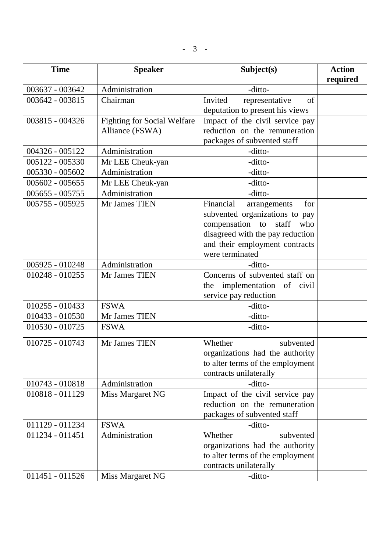| <b>Time</b>       | <b>Speaker</b>                     | Subject(s)                                                         | <b>Action</b> |
|-------------------|------------------------------------|--------------------------------------------------------------------|---------------|
|                   | Administration                     |                                                                    | required      |
| 003637 - 003642   |                                    | -ditto-                                                            |               |
| 003642 - 003815   | Chairman                           | of<br>Invited<br>representative                                    |               |
| 003815 - 004326   | <b>Fighting for Social Welfare</b> | deputation to present his views<br>Impact of the civil service pay |               |
|                   | Alliance (FSWA)                    | reduction on the remuneration                                      |               |
|                   |                                    | packages of subvented staff                                        |               |
| 004326 - 005122   | Administration                     | -ditto-                                                            |               |
| 005122 - 005330   | Mr LEE Cheuk-yan                   | -ditto-                                                            |               |
| 005330 - 005602   | Administration                     | -ditto-                                                            |               |
| $005602 - 005655$ | Mr LEE Cheuk-yan                   | -ditto-                                                            |               |
| 005655 - 005755   | Administration                     | -ditto-                                                            |               |
| 005755 - 005925   | Mr James TIEN                      | Financial<br>for<br>arrangements                                   |               |
|                   |                                    | subvented organizations to pay                                     |               |
|                   |                                    | compensation to staff who                                          |               |
|                   |                                    | disagreed with the pay reduction                                   |               |
|                   |                                    | and their employment contracts                                     |               |
|                   |                                    | were terminated                                                    |               |
| 005925 - 010248   | Administration                     | -ditto-                                                            |               |
| 010248 - 010255   | Mr James TIEN                      | Concerns of subvented staff on                                     |               |
|                   |                                    | the implementation of civil                                        |               |
|                   |                                    | service pay reduction                                              |               |
| 010255 - 010433   | <b>FSWA</b>                        | -ditto-                                                            |               |
| 010433 - 010530   | Mr James TIEN                      | -ditto-                                                            |               |
| 010530 - 010725   | <b>FSWA</b>                        | -ditto-                                                            |               |
| 010725 - 010743   | Mr James TIEN                      | Whether<br>subvented                                               |               |
|                   |                                    | organizations had the authority                                    |               |
|                   |                                    | to alter terms of the employment                                   |               |
|                   |                                    | contracts unilaterally                                             |               |
| 010743 - 010818   | Administration                     | -ditto-                                                            |               |
| 010818 - 011129   | Miss Margaret NG                   | Impact of the civil service pay                                    |               |
|                   |                                    | reduction on the remuneration                                      |               |
|                   |                                    | packages of subvented staff                                        |               |
| 011129 - 011234   | <b>FSWA</b>                        | -ditto-                                                            |               |
| 011234 - 011451   | Administration                     | Whether<br>subvented                                               |               |
|                   |                                    | organizations had the authority                                    |               |
|                   |                                    | to alter terms of the employment                                   |               |
|                   |                                    | contracts unilaterally                                             |               |
| 011451 - 011526   | Miss Margaret NG                   | -ditto-                                                            |               |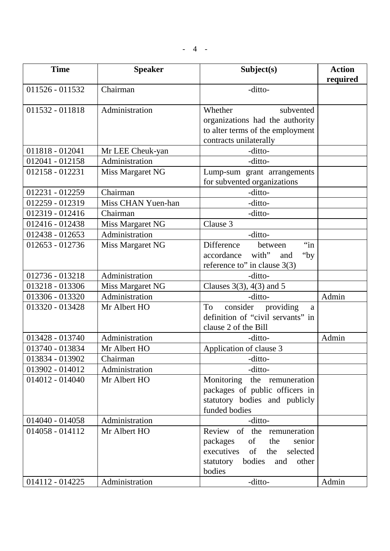| <b>Time</b>       | <b>Speaker</b>     | Subject(s)                                                                                                                                            | <b>Action</b><br>required |
|-------------------|--------------------|-------------------------------------------------------------------------------------------------------------------------------------------------------|---------------------------|
| 011526 - 011532   | Chairman           | -ditto-                                                                                                                                               |                           |
| 011532 - 011818   | Administration     | Whether<br>subvented<br>organizations had the authority<br>to alter terms of the employment<br>contracts unilaterally                                 |                           |
| 011818 - 012041   | Mr LEE Cheuk-yan   | -ditto-                                                                                                                                               |                           |
| 012041 - 012158   | Administration     | -ditto-                                                                                                                                               |                           |
| 012158 - 012231   | Miss Margaret NG   | Lump-sum grant arrangements<br>for subvented organizations                                                                                            |                           |
| 012231 - 012259   | Chairman           | -ditto-                                                                                                                                               |                           |
| 012259 - 012319   | Miss CHAN Yuen-han | -ditto-                                                                                                                                               |                           |
| 012319 - 012416   | Chairman           | -ditto-                                                                                                                                               |                           |
| 012416 - 012438   | Miss Margaret NG   | Clause 3                                                                                                                                              |                           |
| 012438 - 012653   | Administration     | -ditto-                                                                                                                                               |                           |
| 012653 - 012736   | Miss Margaret NG   | Difference<br>$\mathbf{a}$<br>between<br>accordance<br>with"<br>"by"<br>and<br>reference to" in clause $3(3)$                                         |                           |
| 012736 - 013218   | Administration     | -ditto-                                                                                                                                               |                           |
| 013218 - 013306   | Miss Margaret NG   | Clauses $3(3)$ , $4(3)$ and 5                                                                                                                         |                           |
| 013306 - 013320   | Administration     | -ditto-                                                                                                                                               | Admin                     |
| 013320 - 013428   | Mr Albert HO       | consider<br>To<br>providing<br>a<br>definition of "civil servants" in<br>clause 2 of the Bill                                                         |                           |
| 013428 - 013740   | Administration     | -ditto-                                                                                                                                               | Admin                     |
| 013740 - 013834   | Mr Albert HO       | Application of clause 3                                                                                                                               |                           |
| 013834 - 013902   | Chairman           | -ditto-                                                                                                                                               |                           |
| 013902 - 014012   | Administration     | -ditto-                                                                                                                                               |                           |
| 014012 - 014040   | Mr Albert HO       | Monitoring the remuneration<br>packages of public officers in<br>statutory bodies and publicly<br>funded bodies                                       |                           |
| $014040 - 014058$ | Administration     | -ditto-                                                                                                                                               |                           |
| 014058 - 014112   | Mr Albert HO       | Review of the remuneration<br>senior<br>packages<br>of<br>the<br>executives<br>of<br>the<br>selected<br>bodies<br>statutory<br>and<br>other<br>bodies |                           |
| 014112 - 014225   | Administration     | -ditto-                                                                                                                                               | Admin                     |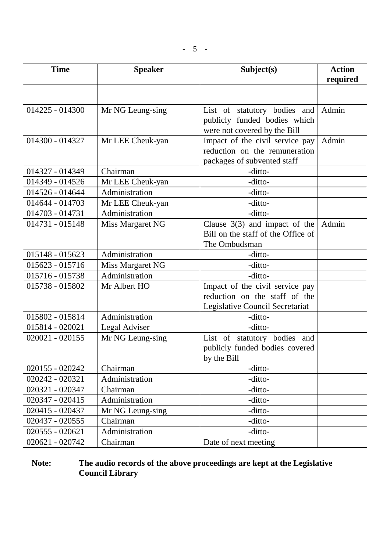| <b>Time</b>       | <b>Speaker</b>          | Subject(s)                         | <b>Action</b> |
|-------------------|-------------------------|------------------------------------|---------------|
|                   |                         |                                    | required      |
|                   |                         |                                    |               |
| 014225 - 014300   | Mr NG Leung-sing        | List of statutory bodies and       | Admin         |
|                   |                         | publicly funded bodies which       |               |
|                   |                         | were not covered by the Bill       |               |
| 014300 - 014327   | Mr LEE Cheuk-yan        | Impact of the civil service pay    | Admin         |
|                   |                         | reduction on the remuneration      |               |
|                   |                         | packages of subvented staff        |               |
| 014327 - 014349   | Chairman                | -ditto-                            |               |
| 014349 - 014526   | Mr LEE Cheuk-yan        | -ditto-                            |               |
| 014526 - 014644   | Administration          | -ditto-                            |               |
| 014644 - 014703   | Mr LEE Cheuk-yan        | -ditto-                            |               |
| 014703 - 014731   | Administration          | -ditto-                            |               |
| 014731 - 015148   | Miss Margaret NG        | Clause $3(3)$ and impact of the    | Admin         |
|                   |                         | Bill on the staff of the Office of |               |
|                   |                         | The Ombudsman                      |               |
| 015148 - 015623   | Administration          | -ditto-                            |               |
| 015623 - 015716   | <b>Miss Margaret NG</b> | -ditto-                            |               |
| 015716 - 015738   | Administration          | -ditto-                            |               |
| 015738 - 015802   | Mr Albert HO            | Impact of the civil service pay    |               |
|                   |                         | reduction on the staff of the      |               |
|                   |                         | Legislative Council Secretariat    |               |
| 015802 - 015814   | Administration          | -ditto-                            |               |
| 015814 - 020021   | Legal Adviser           | -ditto-                            |               |
| $020021 - 020155$ | Mr NG Leung-sing        | List of statutory bodies and       |               |
|                   |                         | publicly funded bodies covered     |               |
|                   |                         | by the Bill                        |               |
| 020155 - 020242   | Chairman                | -ditto-                            |               |
| 020242 - 020321   | Administration          | -ditto-                            |               |
| 020321 - 020347   | Chairman                | -ditto-                            |               |
| 020347 - 020415   | Administration          | -ditto-                            |               |
| 020415 - 020437   | Mr NG Leung-sing        | -ditto-                            |               |
| 020437 - 020555   | Chairman                | -ditto-                            |               |
| $020555 - 020621$ | Administration          | -ditto-                            |               |
| 020621 - 020742   | Chairman                | Date of next meeting               |               |

**Note: The audio records of the above proceedings are kept at the Legislative Council Library**